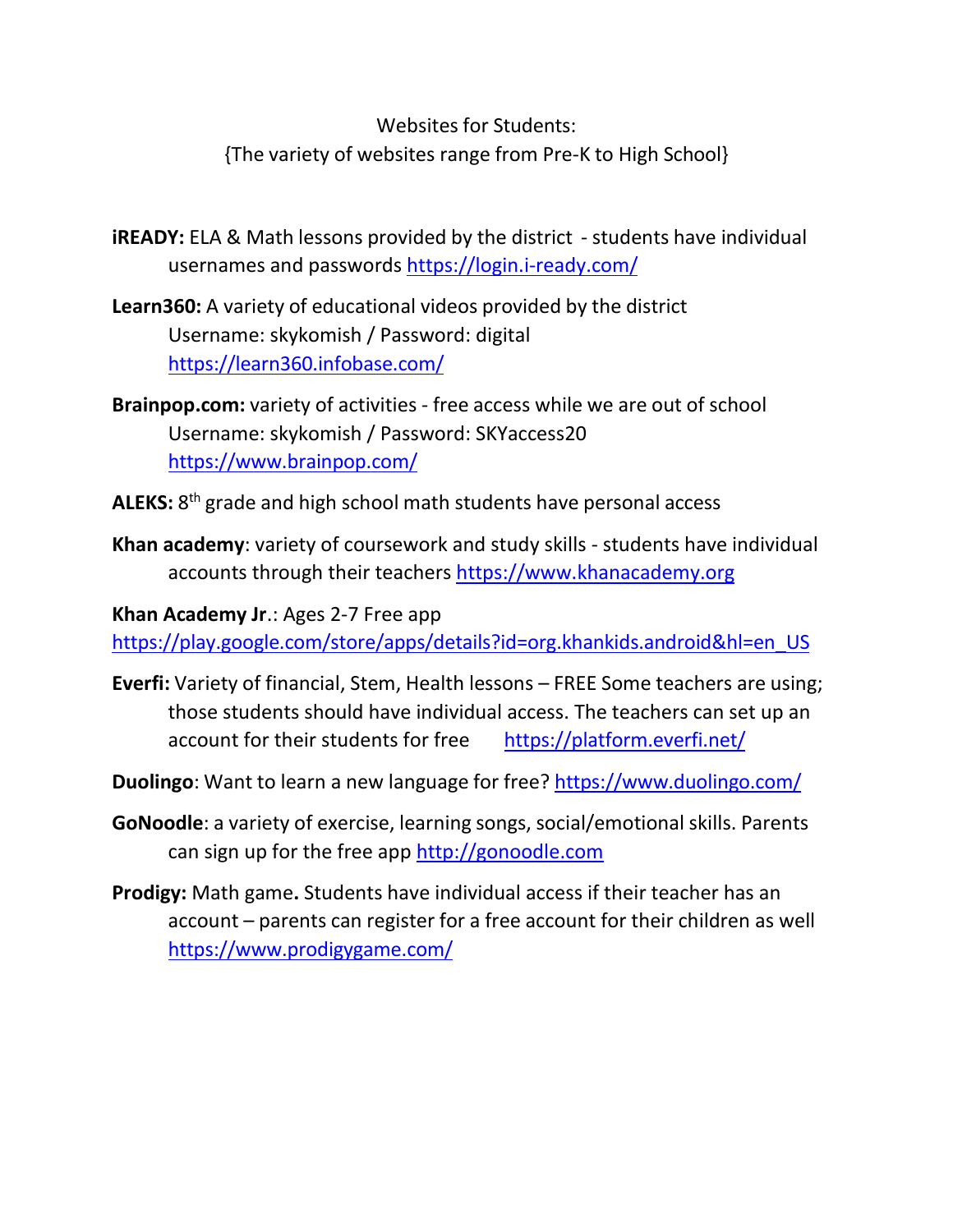Websites for Students: {The variety of websites range from Pre-K to High School}

**iREADY:** ELA & Math lessons provided by the district - students have individual usernames and passwords<https://login.i-ready.com/>

**Learn360:** A variety of educational videos provided by the district Username: skykomish / Password: digital <https://learn360.infobase.com/>

**Brainpop.com:** variety of activities - free access while we are out of school Username: skykomish / Password: SKYaccess20 <https://www.brainpop.com/>

**ALEKS:** 8th grade and high school math students have personal access

**Khan academy**: variety of coursework and study skills - students have individual accounts through their teachers [https://www.khanacademy.org](https://www.khanacademy.org/)

**Khan Academy Jr**.: Ages 2-7 Free app [https://play.google.com/store/apps/details?id=org.khankids.android&hl=en\\_US](https://play.google.com/store/apps/details?id=org.khankids.android&hl=en_US)

- **Everfi:** Variety of financial, Stem, Health lessons FREE Some teachers are using; those students should have individual access. The teachers can set up an account for their students for free <https://platform.everfi.net/>
- **Duolingo**: Want to learn a new language for free?<https://www.duolingo.com/>
- **GoNoodle**: a variety of exercise, learning songs, social/emotional skills. Parents can sign up for the free app [http://gonoodle.com](http://gonoodle.com/)
- **Prodigy:** Math game**.** Students have individual access if their teacher has an account – parents can register for a free account for their children as well <https://www.prodigygame.com/>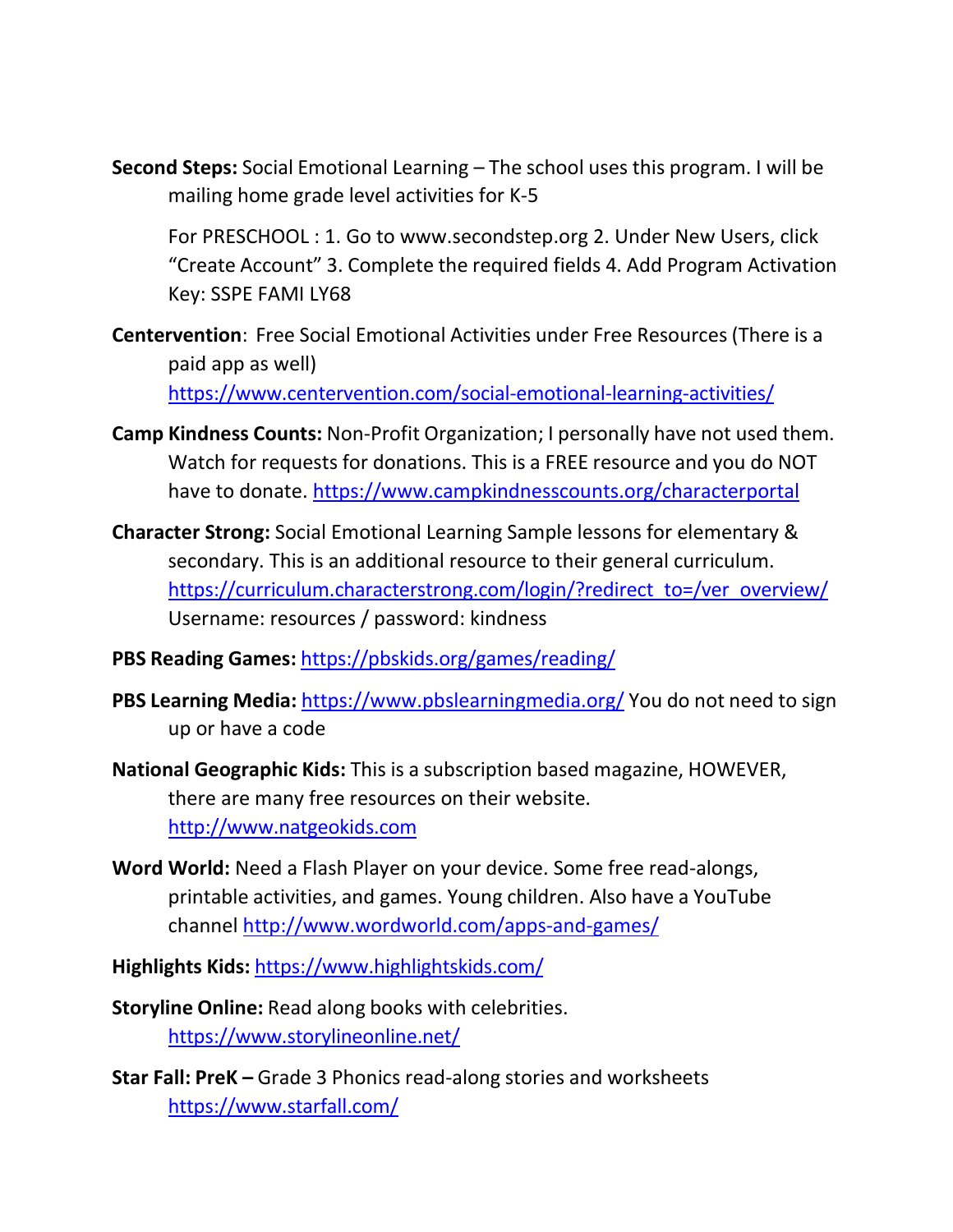**Second Steps:** Social Emotional Learning – The school uses this program. I will be mailing home grade level activities for K-5

For PRESCHOOL : 1. Go to [www.secondstep.org 2](http://www.secondstep.org/). Under New Users, click "Create Account" 3. Complete the required fields 4. Add Program Activation Key: SSPE FAMI LY68

- **Centervention**: Free Social Emotional Activities under Free Resources (There is a paid app as well) <https://www.centervention.com/social-emotional-learning-activities/>
- **Camp Kindness Counts:** Non-Profit Organization; I personally have not used them. Watch for requests for donations. This is a FREE resource and you do NOT have to donate.<https://www.campkindnesscounts.org/characterportal>
- **Character Strong:** Social Emotional Learning Sample lessons for elementary & secondary. This is an additional resource to their general curriculum. [https://curriculum.characterstrong.com/login/?redirect\\_to=/ver\\_overview/](https://curriculum.characterstrong.com/login/?redirect_to=/ver_overview/) Username: resources / password: kindness
- **PBS Reading Games:** <https://pbskids.org/games/reading/>
- **PBS Learning Media:** <https://www.pbslearningmedia.org/> You do not need to sign up or have a code
- **National Geographic Kids:** This is a subscription based magazine, HOWEVER, there are many free resources on their website. [http://www.natgeokids.com](http://www.natgeokids.com/)
- **Word World:** Need a Flash Player on your device. Some free read-alongs, printable activities, and games. Young children. Also have a YouTube channel<http://www.wordworld.com/apps-and-games/>
- **Highlights Kids:** <https://www.highlightskids.com/>
- **Storyline Online:** Read along books with celebrities. <https://www.storylineonline.net/>
- **Star Fall: PreK** Grade 3 Phonics read-along stories and worksheets <https://www.starfall.com/>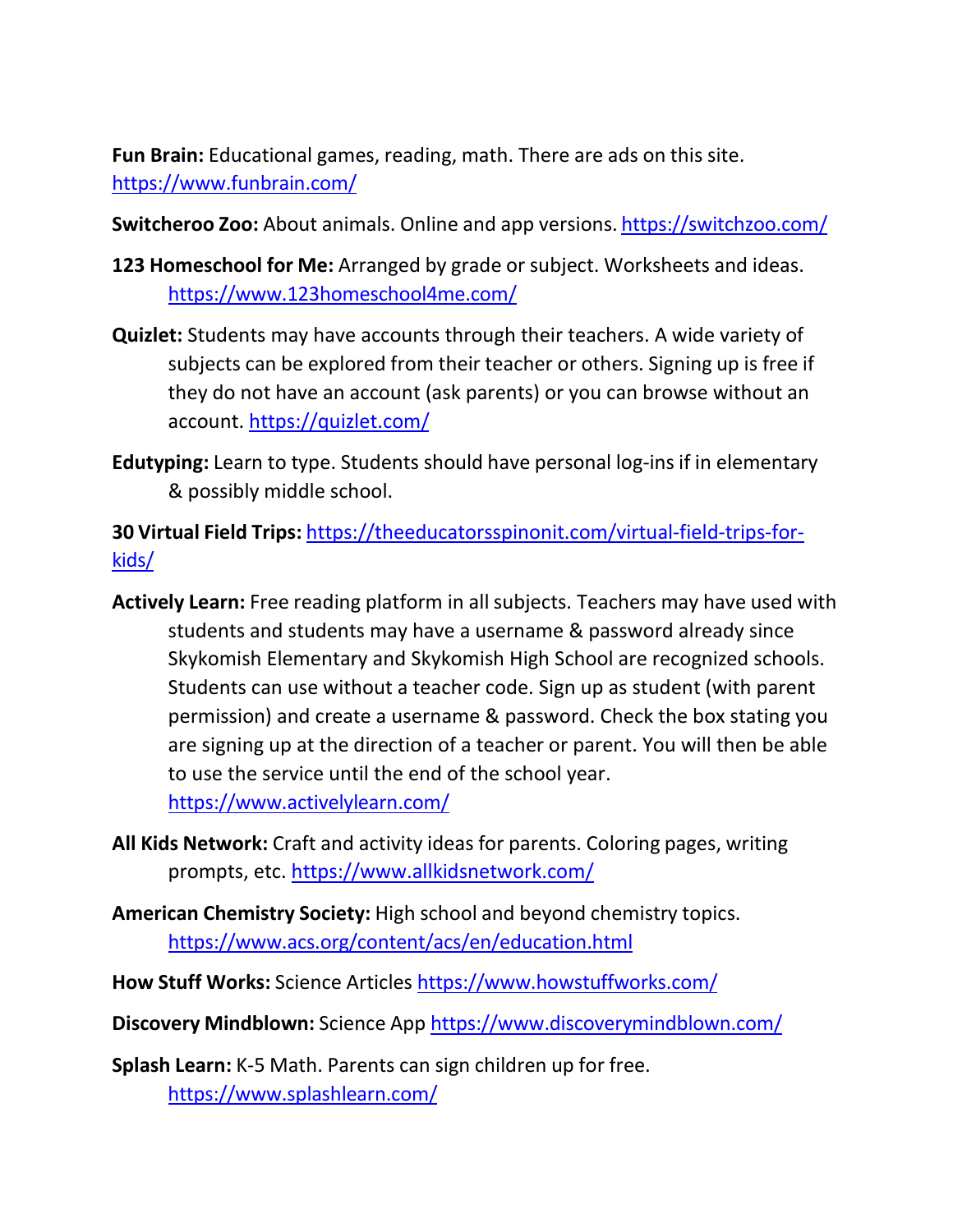**Fun Brain:** Educational games, reading, math. There are ads on this site. <https://www.funbrain.com/>

**Switcheroo Zoo:** About animals. Online and app versions. <https://switchzoo.com/>

- **123 Homeschool for Me:** Arranged by grade or subject. Worksheets and ideas. <https://www.123homeschool4me.com/>
- **Quizlet:** Students may have accounts through their teachers. A wide variety of subjects can be explored from their teacher or others. Signing up is free if they do not have an account (ask parents) or you can browse without an account.<https://quizlet.com/>
- **Edutyping:** Learn to type. Students should have personal log-ins if in elementary & possibly middle school.

**30 Virtual Field Trips:** [https://theeducatorsspinonit.com/virtual-field-trips-for](https://theeducatorsspinonit.com/virtual-field-trips-for-kids/)[kids/](https://theeducatorsspinonit.com/virtual-field-trips-for-kids/)

- **Actively Learn:** Free reading platform in all subjects. Teachers may have used with students and students may have a username & password already since Skykomish Elementary and Skykomish High School are recognized schools. Students can use without a teacher code. Sign up as student (with parent permission) and create a username & password. Check the box stating you are signing up at the direction of a teacher or parent. You will then be able to use the service until the end of the school year. <https://www.activelylearn.com/>
- **All Kids Network:** Craft and activity ideas for parents. Coloring pages, writing prompts, etc.<https://www.allkidsnetwork.com/>
- **American Chemistry Society:** High school and beyond chemistry topics. <https://www.acs.org/content/acs/en/education.html>
- **How Stuff Works:** Science Articles <https://www.howstuffworks.com/>
- **Discovery Mindblown:** Science App <https://www.discoverymindblown.com/>

**Splash Learn:** K-5 Math. Parents can sign children up for free. <https://www.splashlearn.com/>